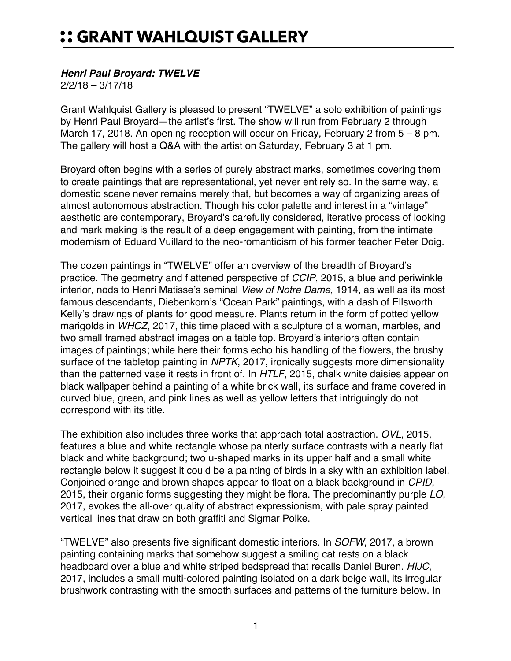## :: GRANT WAHLQUIST GALLERY

## *Henri Paul Broyard: TWELVE*

2/2/18 – 3/17/18

Grant Wahlquist Gallery is pleased to present "TWELVE" a solo exhibition of paintings by Henri Paul Broyard—the artist's first. The show will run from February 2 through March 17, 2018. An opening reception will occur on Friday, February 2 from 5 – 8 pm. The gallery will host a Q&A with the artist on Saturday, February 3 at 1 pm.

Broyard often begins with a series of purely abstract marks, sometimes covering them to create paintings that are representational, yet never entirely so. In the same way, a domestic scene never remains merely that, but becomes a way of organizing areas of almost autonomous abstraction. Though his color palette and interest in a "vintage" aesthetic are contemporary, Broyard's carefully considered, iterative process of looking and mark making is the result of a deep engagement with painting, from the intimate modernism of Eduard Vuillard to the neo-romanticism of his former teacher Peter Doig.

The dozen paintings in "TWELVE" offer an overview of the breadth of Broyard's practice. The geometry and flattened perspective of *CCIP*, 2015, a blue and periwinkle interior, nods to Henri Matisse's seminal *View of Notre Dame*, 1914, as well as its most famous descendants, Diebenkorn's "Ocean Park" paintings, with a dash of Ellsworth Kelly's drawings of plants for good measure. Plants return in the form of potted yellow marigolds in *WHCZ*, 2017, this time placed with a sculpture of a woman, marbles, and two small framed abstract images on a table top. Broyard's interiors often contain images of paintings; while here their forms echo his handling of the flowers, the brushy surface of the tabletop painting in *NPTK*, 2017, ironically suggests more dimensionality than the patterned vase it rests in front of. In *HTLF*, 2015, chalk white daisies appear on black wallpaper behind a painting of a white brick wall, its surface and frame covered in curved blue, green, and pink lines as well as yellow letters that intriguingly do not correspond with its title.

The exhibition also includes three works that approach total abstraction. *OVL*, 2015, features a blue and white rectangle whose painterly surface contrasts with a nearly flat black and white background; two u-shaped marks in its upper half and a small white rectangle below it suggest it could be a painting of birds in a sky with an exhibition label. Conjoined orange and brown shapes appear to float on a black background in *CPID*, 2015, their organic forms suggesting they might be flora. The predominantly purple *LO*, 2017, evokes the all-over quality of abstract expressionism, with pale spray painted vertical lines that draw on both graffiti and Sigmar Polke.

"TWELVE" also presents five significant domestic interiors. In *SOFW*, 2017, a brown painting containing marks that somehow suggest a smiling cat rests on a black headboard over a blue and white striped bedspread that recalls Daniel Buren. *HIJC*, 2017, includes a small multi-colored painting isolated on a dark beige wall, its irregular brushwork contrasting with the smooth surfaces and patterns of the furniture below. In